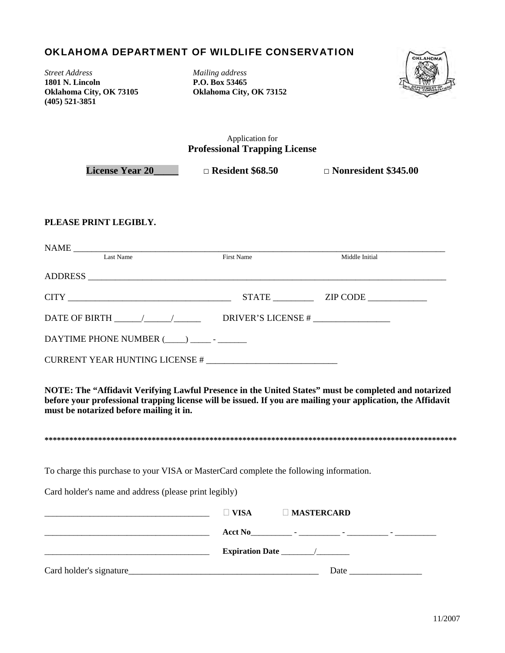## OKLAHOMA DEPARTMENT OF WILDLIFE CONSERVATION

*Street Address Mailing address*  **1801 N. Lincoln P.O. Box 53465 (405) 521-3851**

**Oklahoma City, OK 73105 Oklahoma City, OK 73152** 



Application for **Professional Trapping License** 

**License Year 20\_\_\_\_\_ □ Resident \$68.50 □ Nonresident \$345.00** 

## **PLEASE PRINT LEGIBLY.**

| Last Name                                                                                                       | First Name         | Middle Initial                          |
|-----------------------------------------------------------------------------------------------------------------|--------------------|-----------------------------------------|
|                                                                                                                 |                    |                                         |
|                                                                                                                 | <b>STATE</b>       | $ZIP$ CODE $\_\_\_\_\_\_\_\_\_\_\_\_\_$ |
| DATE OF BIRTH The Terms of the Terms of Terms of Terms and Terms of Terms of Terms of Terms of Terms of Terms o | DRIVER'S LICENSE # |                                         |
| DAYTIME PHONE NUMBER ( )                                                                                        |                    |                                         |
|                                                                                                                 |                    |                                         |

**NOTE: The "Affidavit Verifying Lawful Presence in the United States" must be completed and notarized before your professional trapping license will be issued. If you are mailing your application, the Affidavit must be notarized before mailing it in.** 

**\*\*\*\*\*\*\*\*\*\*\*\*\*\*\*\*\*\*\*\*\*\*\*\*\*\*\*\*\*\*\*\*\*\*\*\*\*\*\*\*\*\*\*\*\*\*\*\*\*\*\*\*\*\*\*\*\*\*\*\*\*\*\*\*\*\*\*\*\*\*\*\*\*\*\*\*\*\*\*\*\*\*\*\*\*\*\*\*\*\*\*\*\*\*\*\*\*\*\*\***

To charge this purchase to your VISA or MasterCard complete the following information.

Card holder's name and address (please print legibly)

|                          | VISA                            | $\Box$ MASTERCARD |  |
|--------------------------|---------------------------------|-------------------|--|
|                          | $\text{ActN0}$ - $\blacksquare$ |                   |  |
|                          |                                 |                   |  |
| Card holder's signature_ |                                 | Date              |  |